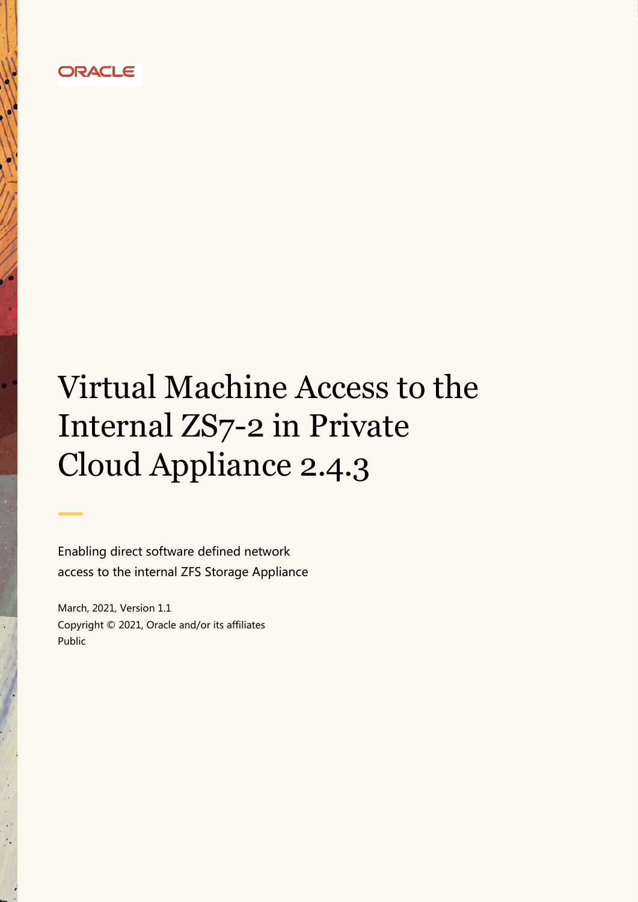# ORACLE

# Virtual Machine Access to the Internal ZS7-2 in Private Cloud Appliance 2.4.3

Enabling direct software defined network access to the internal ZFS Storage Appliance

March, 2021, Version 1.1 Copyright © 2021, Oracle and/or its affiliates Public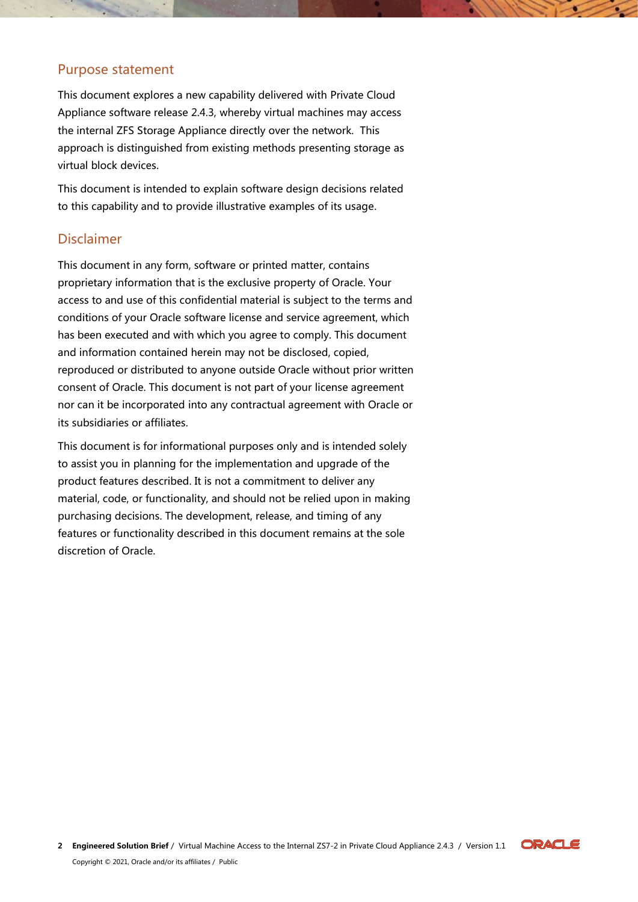### <span id="page-1-0"></span>Purpose statement

This document explores a new capability delivered with Private Cloud Appliance software release 2.4.3, whereby virtual machines may access the internal ZFS Storage Appliance directly over the network. This approach is distinguished from existing methods presenting storage as virtual block devices.

This document is intended to explain software design decisions related to this capability and to provide illustrative examples of its usage.

#### <span id="page-1-1"></span>Disclaimer

This document in any form, software or printed matter, contains proprietary information that is the exclusive property of Oracle. Your access to and use of this confidential material is subject to the terms and conditions of your Oracle software license and service agreement, which has been executed and with which you agree to comply. This document and information contained herein may not be disclosed, copied, reproduced or distributed to anyone outside Oracle without prior written consent of Oracle. This document is not part of your license agreement nor can it be incorporated into any contractual agreement with Oracle or its subsidiaries or affiliates.

This document is for informational purposes only and is intended solely to assist you in planning for the implementation and upgrade of the product features described. It is not a commitment to deliver any material, code, or functionality, and should not be relied upon in making purchasing decisions. The development, release, and timing of any features or functionality described in this document remains at the sole discretion of Oracle.

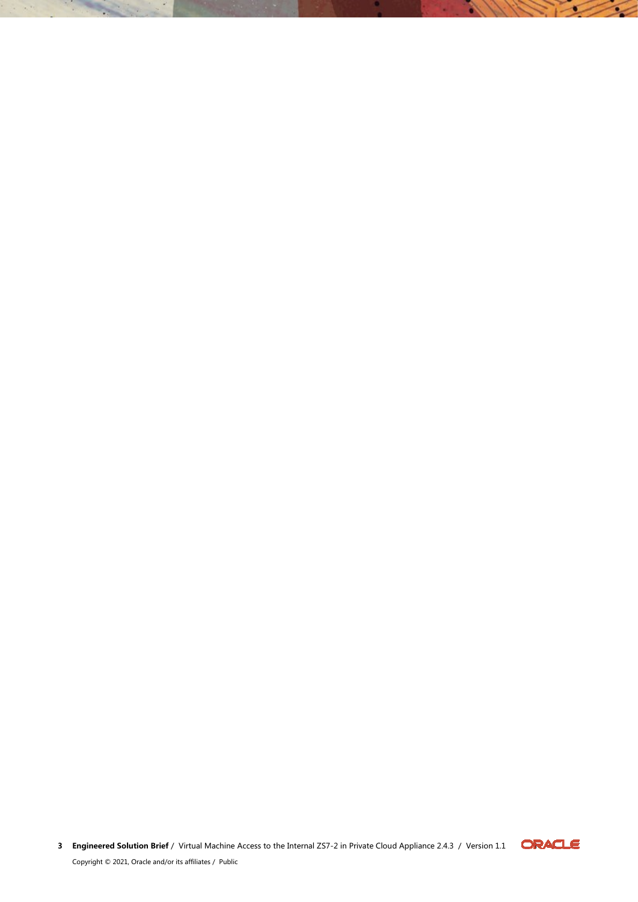

 $\sim$   $^{\circ}$ 

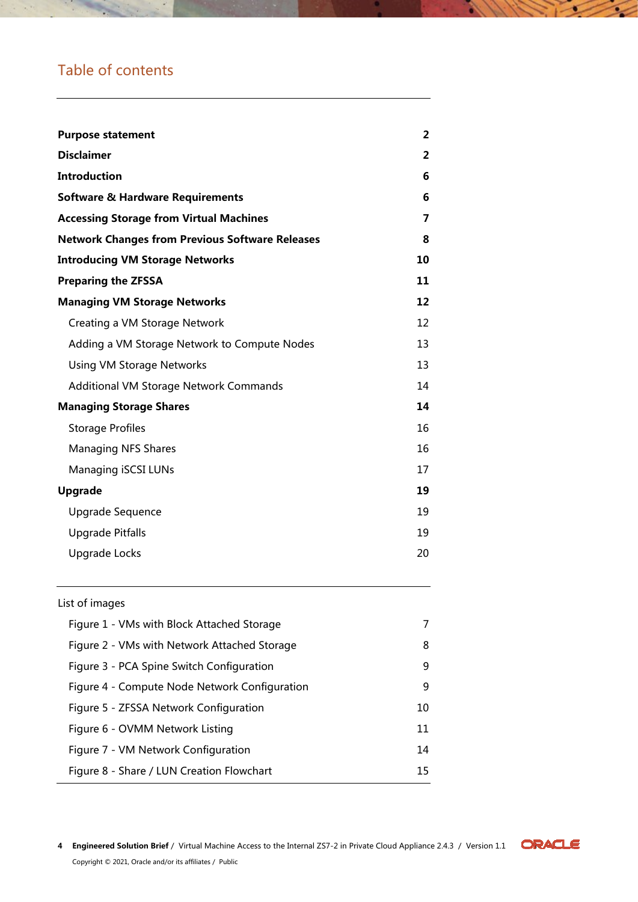# Table of contents

| <b>Purpose statement</b>                               | $\overline{2}$ |
|--------------------------------------------------------|----------------|
| <b>Disclaimer</b>                                      | $\overline{2}$ |
| <b>Introduction</b>                                    | 6              |
| <b>Software &amp; Hardware Requirements</b>            | 6              |
| <b>Accessing Storage from Virtual Machines</b>         | $\overline{ }$ |
| <b>Network Changes from Previous Software Releases</b> | 8              |
| <b>Introducing VM Storage Networks</b>                 | 10             |
| <b>Preparing the ZFSSA</b>                             | 11             |
| <b>Managing VM Storage Networks</b>                    | 12             |
| Creating a VM Storage Network                          | 12             |
| Adding a VM Storage Network to Compute Nodes           | 13             |
| <b>Using VM Storage Networks</b>                       | 13             |
| <b>Additional VM Storage Network Commands</b>          | 14             |
| <b>Managing Storage Shares</b>                         | 14             |
| <b>Storage Profiles</b>                                | 16             |
| <b>Managing NFS Shares</b>                             | 16             |
| <b>Managing iSCSI LUNs</b>                             | 17             |
| Upgrade                                                | 19             |
| Upgrade Sequence                                       | 19             |
| <b>Upgrade Pitfalls</b>                                | 19             |
| <b>Upgrade Locks</b>                                   | 20             |

#### List of images

| Figure 1 - VMs with Block Attached Storage    | 7  |
|-----------------------------------------------|----|
| Figure 2 - VMs with Network Attached Storage  | 8  |
| Figure 3 - PCA Spine Switch Configuration     | 9  |
| Figure 4 - Compute Node Network Configuration | 9  |
| Figure 5 - ZFSSA Network Configuration        | 10 |
| Figure 6 - OVMM Network Listing               | 11 |
| Figure 7 - VM Network Configuration           | 14 |
| Figure 8 - Share / LUN Creation Flowchart     | 15 |

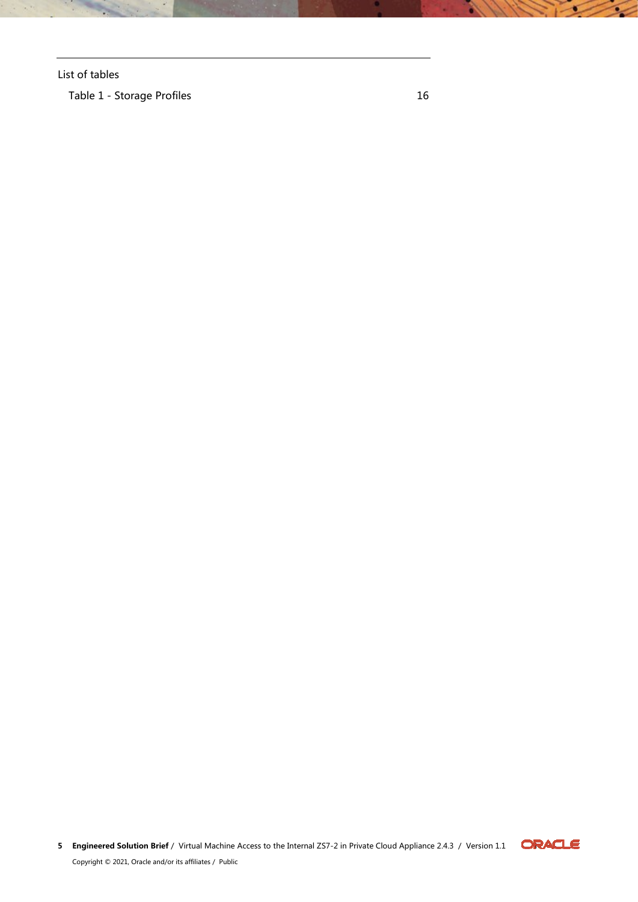List of tables

Table 1 - [Storage Profiles](#page-15-2) 16

 $\sim$ 

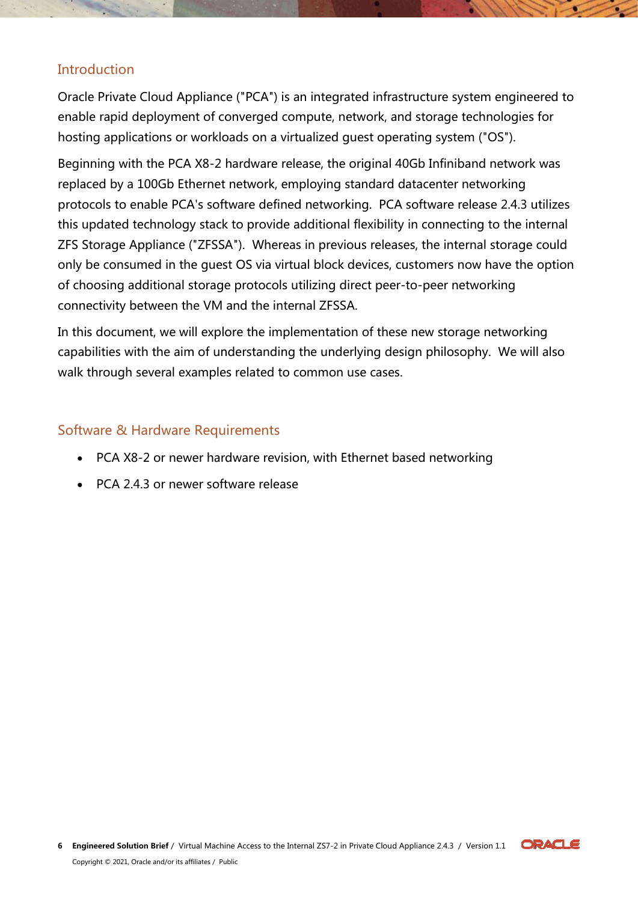# <span id="page-5-0"></span>Introduction

Oracle Private Cloud Appliance ("PCA") is an integrated infrastructure system engineered to enable rapid deployment of converged compute, network, and storage technologies for hosting applications or workloads on a virtualized guest operating system ("OS").

Beginning with the PCA X8-2 hardware release, the original 40Gb Infiniband network was replaced by a 100Gb Ethernet network, employing standard datacenter networking protocols to enable PCA's software defined networking. PCA software release 2.4.3 utilizes this updated technology stack to provide additional flexibility in connecting to the internal ZFS Storage Appliance ("ZFSSA"). Whereas in previous releases, the internal storage could only be consumed in the guest OS via virtual block devices, customers now have the option of choosing additional storage protocols utilizing direct peer-to-peer networking connectivity between the VM and the internal ZFSSA.

In this document, we will explore the implementation of these new storage networking capabilities with the aim of understanding the underlying design philosophy. We will also walk through several examples related to common use cases.

# <span id="page-5-1"></span>Software & Hardware Requirements

- PCA X8-2 or newer hardware revision, with Ethernet based networking
- PCA 2.4.3 or newer software release

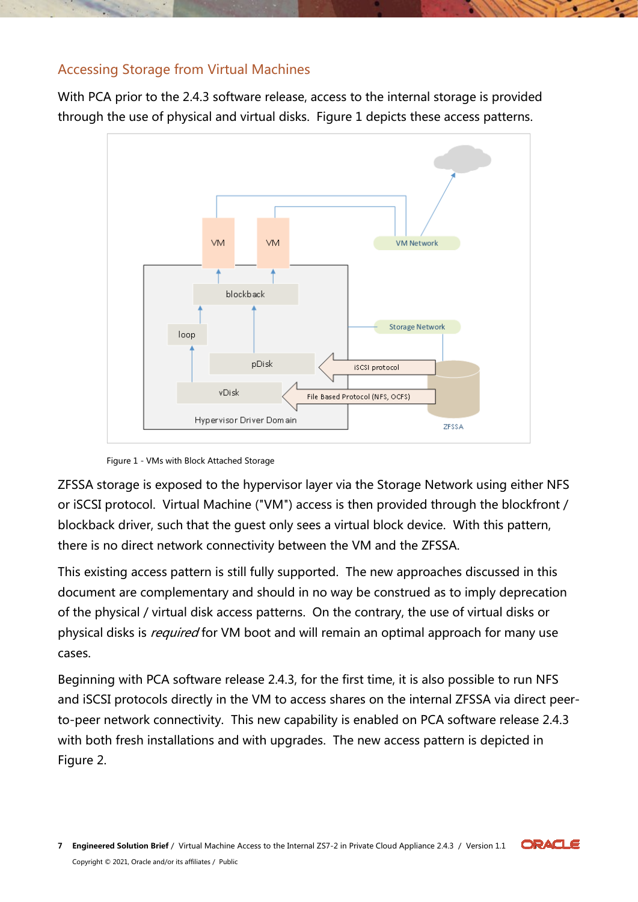# <span id="page-6-0"></span>Accessing Storage from Virtual Machines

With PCA prior to the 2.4.3 software release, access to the internal storage is provided through the use of physical and virtual disks. Figure 1 depicts these access patterns.





ZFSSA storage is exposed to the hypervisor layer via the Storage Network using either NFS or iSCSI protocol. Virtual Machine ("VM") access is then provided through the blockfront / blockback driver, such that the guest only sees a virtual block device. With this pattern, there is no direct network connectivity between the VM and the ZFSSA.

This existing access pattern is still fully supported. The new approaches discussed in this document are complementary and should in no way be construed as to imply deprecation of the physical / virtual disk access patterns. On the contrary, the use of virtual disks or physical disks is *required* for VM boot and will remain an optimal approach for many use cases.

Beginning with PCA software release 2.4.3, for the first time, it is also possible to run NFS and iSCSI protocols directly in the VM to access shares on the internal ZFSSA via direct peerto-peer network connectivity. This new capability is enabled on PCA software release 2.4.3 with both fresh installations and with upgrades. The new access pattern is depicted in Figure 2.

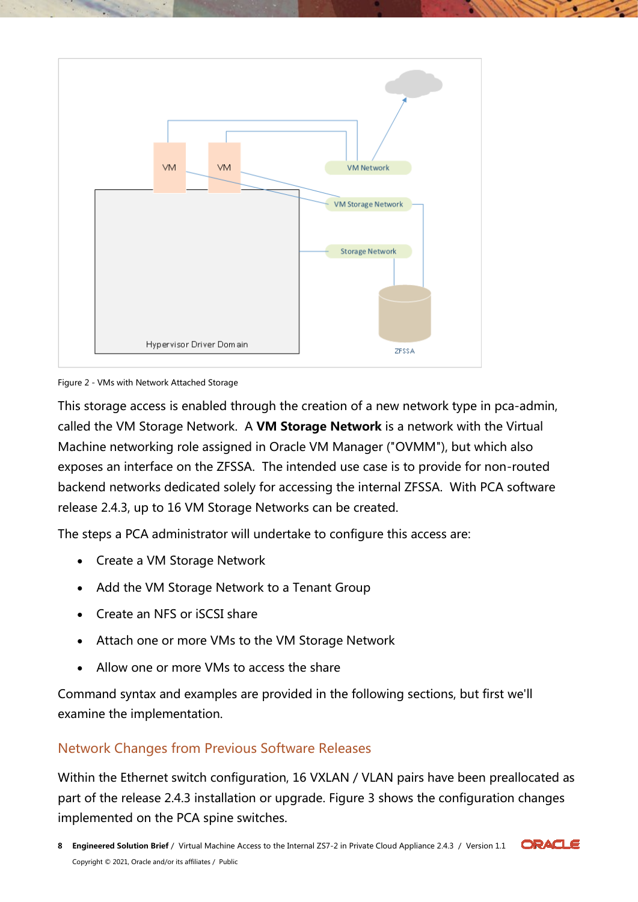

<span id="page-7-1"></span>Figure 2 - VMs with Network Attached Storage

This storage access is enabled through the creation of a new network type in pca-admin, called the VM Storage Network. A **VM Storage Network** is a network with the Virtual Machine networking role assigned in Oracle VM Manager ("OVMM"), but which also exposes an interface on the ZFSSA. The intended use case is to provide for non-routed backend networks dedicated solely for accessing the internal ZFSSA. With PCA software release 2.4.3, up to 16 VM Storage Networks can be created.

The steps a PCA administrator will undertake to configure this access are:

- Create a VM Storage Network
- Add the VM Storage Network to a Tenant Group
- Create an NFS or iSCSI share
- Attach one or more VMs to the VM Storage Network
- Allow one or more VMs to access the share

Command syntax and examples are provided in the following sections, but first we'll examine the implementation.

# <span id="page-7-0"></span>Network Changes from Previous Software Releases

Within the Ethernet switch configuration, 16 VXLAN / VLAN pairs have been preallocated as part of the release 2.4.3 installation or upgrade. Figure 3 shows the configuration changes implemented on the PCA spine switches.

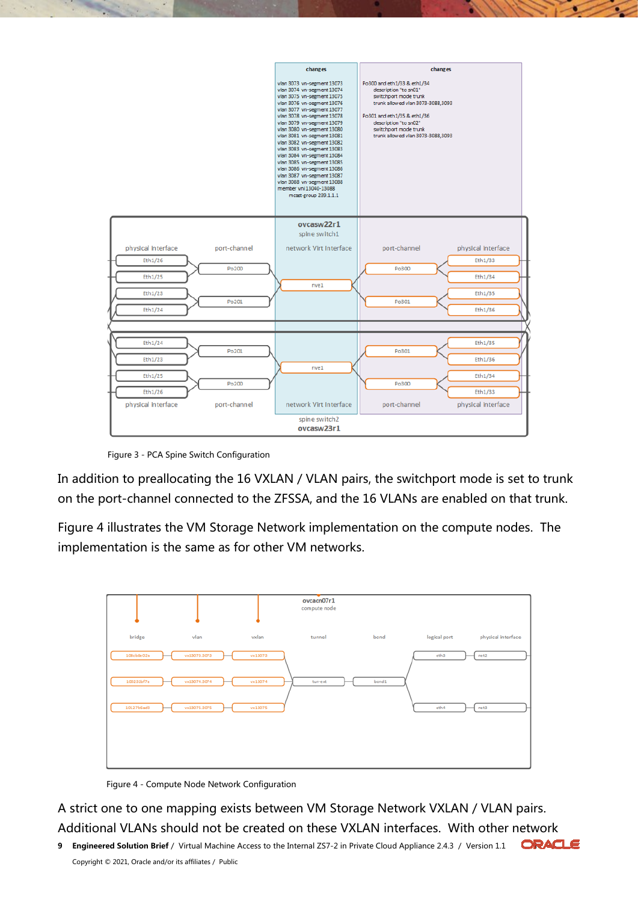

Figure 3 - PCA Spine Switch Configuration

In addition to preallocating the 16 VXLAN / VLAN pairs, the switchport mode is set to trunk on the port-channel connected to the ZFSSA, and the 16 VLANs are enabled on that trunk.

Figure 4 illustrates the VM Storage Network implementation on the compute nodes. The implementation is the same as for other VM networks.



Figure 4 - Compute Node Network Configuration

A strict one to one mapping exists between VM Storage Network VXLAN / VLAN pairs. Additional VLANs should not be created on these VXLAN interfaces. With other network

ORACLE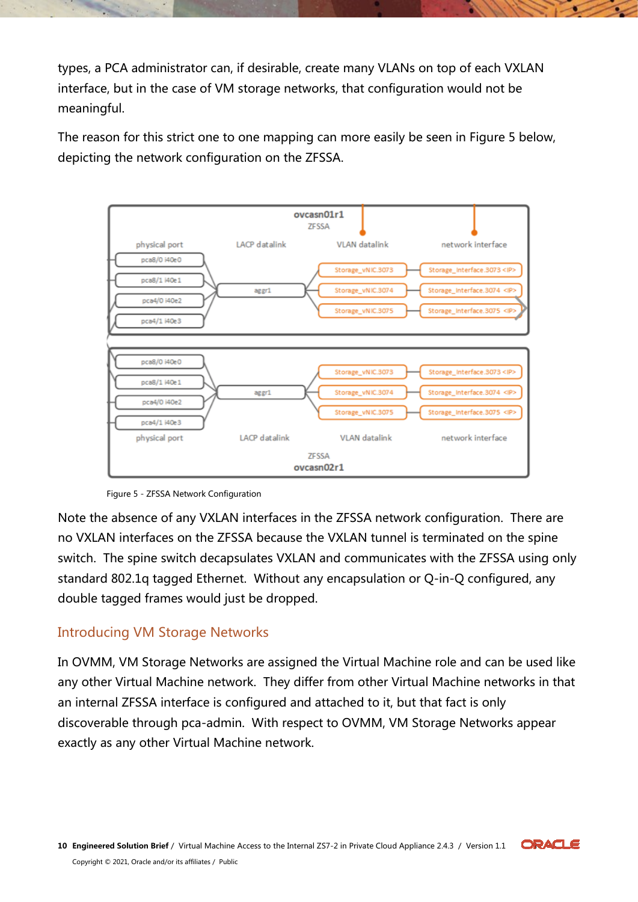types, a PCA administrator can, if desirable, create many VLANs on top of each VXLAN interface, but in the case of VM storage networks, that configuration would not be meaningful.

The reason for this strict one to one mapping can more easily be seen in Figure 5 below, depicting the network configuration on the ZFSSA.



Figure 5 - ZFSSA Network Configuration

Note the absence of any VXLAN interfaces in the ZFSSA network configuration. There are no VXLAN interfaces on the ZFSSA because the VXLAN tunnel is terminated on the spine switch. The spine switch decapsulates VXLAN and communicates with the ZFSSA using only standard 802.1q tagged Ethernet. Without any encapsulation or Q-in-Q configured, any double tagged frames would just be dropped.

# <span id="page-9-0"></span>Introducing VM Storage Networks

In OVMM, VM Storage Networks are assigned the Virtual Machine role and can be used like any other Virtual Machine network. They differ from other Virtual Machine networks in that an internal ZFSSA interface is configured and attached to it, but that fact is only discoverable through pca-admin. With respect to OVMM, VM Storage Networks appear exactly as any other Virtual Machine network.

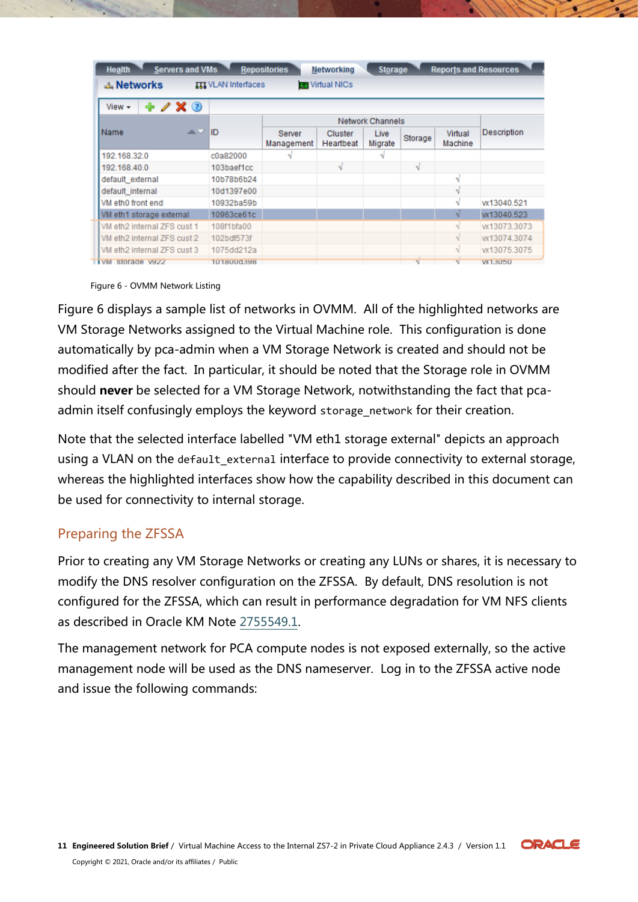| <b>Health</b>               | <b>Servers and VMs</b> |                            | <b>Repositories</b>  | <b>Networking</b>           | <b>Storage</b>          |         | <b>Reports and Resources</b> |                    |
|-----------------------------|------------------------|----------------------------|----------------------|-----------------------------|-------------------------|---------|------------------------------|--------------------|
| <b>⊥ Networks</b>           |                        | <b>ITT</b> VLAN Interfaces |                      | <b>THE Virtual NICs</b>     |                         |         |                              |                    |
| View $\sim$                 | $+ 2$ $\times$ $2$     |                            |                      |                             |                         |         |                              |                    |
|                             |                        |                            |                      |                             | <b>Network Channels</b> |         |                              |                    |
| Name                        | $\triangle \vee$       | ID                         | Server<br>Management | <b>Cluster</b><br>Heartbeat | Live<br>Migrate         | Storage | Virtual<br>Machine           | <b>Description</b> |
| 192.168.32.0                |                        | c0a82000                   |                      |                             |                         |         |                              |                    |
| 192.168.40.0                |                        | 103baef1cc                 |                      | v                           |                         | V       |                              |                    |
| default external            |                        | 10b78b6b24                 |                      |                             |                         |         | ٩I                           |                    |
| default internal            |                        | 10d1397e00                 |                      |                             |                         |         |                              |                    |
| VM eth0 front end           |                        | 10932ba59b                 |                      |                             |                         |         | √                            | vx13040.521        |
| VM eth1 storage external    |                        | 10963ce61c                 |                      |                             |                         |         | √                            | wt13040.523        |
| VM eth2 internal ZFS cust 1 |                        | 108f1bfa00                 |                      |                             |                         |         | ٩I                           | vx13073.3073       |
| VM eth2 internal ZFS cust 2 |                        | 102bdf573f                 |                      |                             |                         |         | ٩I                           | vx13074.3074       |
| VM eth2 internal ZFS cust 3 |                        | 1075dd212a                 |                      |                             |                         |         | ٩I                           | wt13075.3075       |
| IVM Storage V922            |                        | 1018000398                 |                      |                             |                         | v       | N                            | <b>VX13050</b>     |

Figure 6 - OVMM Network Listing

Figure 6 displays a sample list of networks in OVMM. All of the highlighted networks are VM Storage Networks assigned to the Virtual Machine role. This configuration is done automatically by pca-admin when a VM Storage Network is created and should not be modified after the fact. In particular, it should be noted that the Storage role in OVMM should **never** be selected for a VM Storage Network, notwithstanding the fact that pcaadmin itself confusingly employs the keyword storage network for their creation.

Note that the selected interface labelled "VM eth1 storage external" depicts an approach using a VLAN on the default external interface to provide connectivity to external storage, whereas the highlighted interfaces show how the capability described in this document can be used for connectivity to internal storage.

# <span id="page-10-0"></span>Preparing the ZFSSA

Prior to creating any VM Storage Networks or creating any LUNs or shares, it is necessary to modify the DNS resolver configuration on the ZFSSA. By default, DNS resolution is not configured for the ZFSSA, which can result in performance degradation for VM NFS clients as described in Oracle KM Note [2755549.1.](https://support.oracle.com/oip/faces/secure/km/DocumentDisplay.jspx?id=2755549.1)

The management network for PCA compute nodes is not exposed externally, so the active management node will be used as the DNS nameserver. Log in to the ZFSSA active node and issue the following commands:

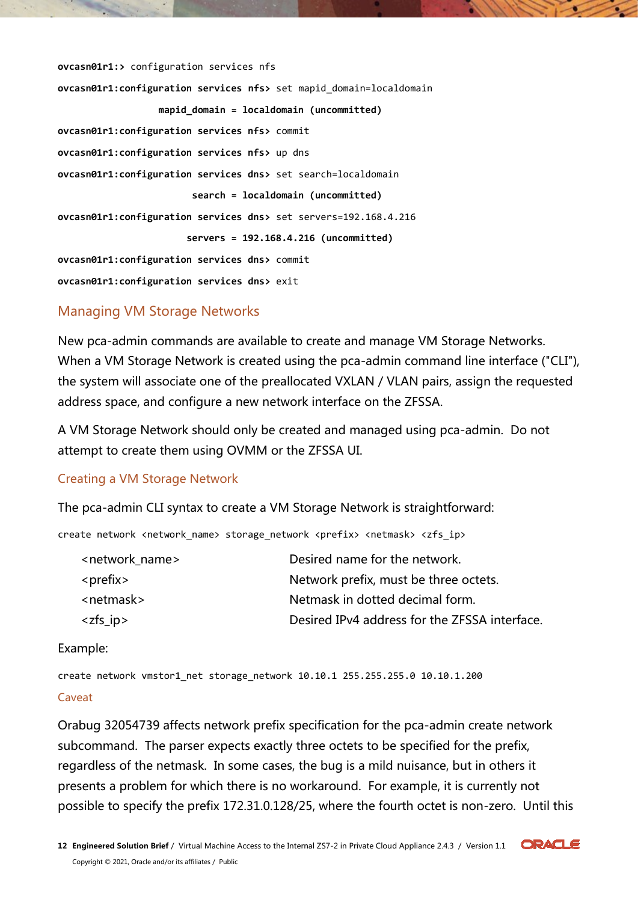```
ovcasn01r1:> configuration services nfs
ovcasn01r1:configuration services nfs> set mapid_domain=localdomain
                   mapid_domain = localdomain (uncommitted)
ovcasn01r1:configuration services nfs> commit
ovcasn01r1:configuration services nfs> up dns
ovcasn01r1:configuration services dns> set search=localdomain
                         search = localdomain (uncommitted)
ovcasn01r1:configuration services dns> set servers=192.168.4.216
                        servers = 192.168.4.216 (uncommitted)
ovcasn01r1:configuration services dns> commit
ovcasn01r1:configuration services dns> exit
```
# <span id="page-11-0"></span>Managing VM Storage Networks

New pca-admin commands are available to create and manage VM Storage Networks. When a VM Storage Network is created using the pca-admin command line interface ("CLI"), the system will associate one of the preallocated VXLAN / VLAN pairs, assign the requested address space, and configure a new network interface on the ZFSSA.

A VM Storage Network should only be created and managed using pca-admin. Do not attempt to create them using OVMM or the ZFSSA UI.

# <span id="page-11-1"></span>Creating a VM Storage Network

The pca-admin CLI syntax to create a VM Storage Network is straightforward:

create network <network\_name> storage\_network <prefix> <netmask> <zfs\_ip>

| <network_name></network_name> | Desired name for the network.                 |
|-------------------------------|-----------------------------------------------|
| <prefix></prefix>             | Network prefix, must be three octets.         |
| <netmask></netmask>           | Netmask in dotted decimal form.               |
| $<$ zfs_ip>                   | Desired IPv4 address for the ZFSSA interface. |

#### Example:

create network vmstor1\_net storage\_network 10.10.1 255.255.255.0 10.10.1.200

#### Caveat

Orabug 32054739 affects network prefix specification for the pca-admin create network subcommand. The parser expects exactly three octets to be specified for the prefix, regardless of the netmask. In some cases, the bug is a mild nuisance, but in others it presents a problem for which there is no workaround. For example, it is currently not possible to specify the prefix 172.31.0.128/25, where the fourth octet is non-zero. Until this

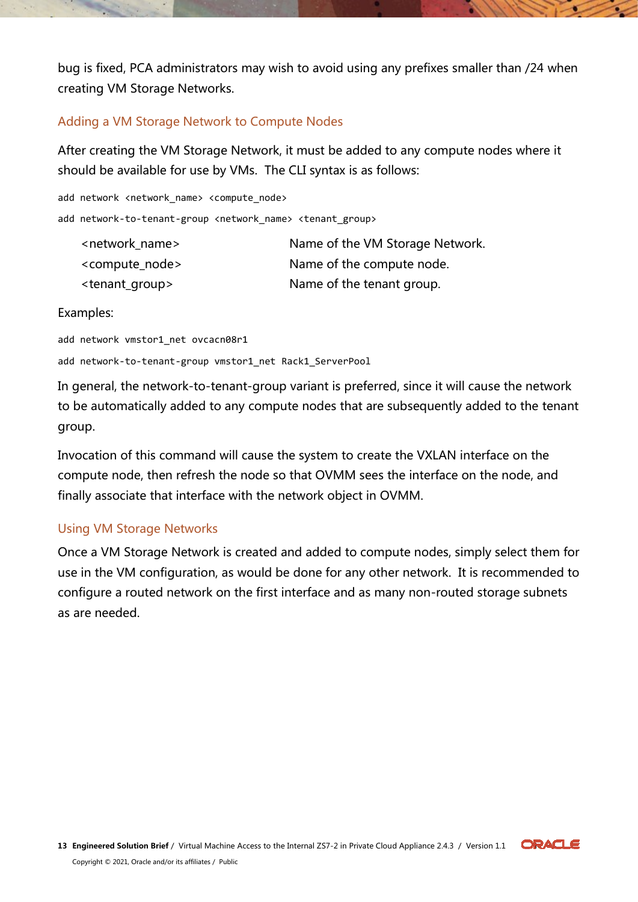bug is fixed, PCA administrators may wish to avoid using any prefixes smaller than /24 when creating VM Storage Networks.

#### <span id="page-12-0"></span>Adding a VM Storage Network to Compute Nodes

After creating the VM Storage Network, it must be added to any compute nodes where it should be available for use by VMs. The CLI syntax is as follows:

add network <network name> <compute node>

add network-to-tenant-group <network\_name> <tenant\_group>

| <network name=""></network>   | Name of the VM Storage Network. |
|-------------------------------|---------------------------------|
| <compute_node></compute_node> | Name of the compute node.       |
| <tenant_group></tenant_group> | Name of the tenant group.       |

Examples:

add network vmstor1 net ovcacn08r1 add network-to-tenant-group vmstor1 net Rack1 ServerPool

In general, the network-to-tenant-group variant is preferred, since it will cause the network to be automatically added to any compute nodes that are subsequently added to the tenant group.

Invocation of this command will cause the system to create the VXLAN interface on the compute node, then refresh the node so that OVMM sees the interface on the node, and finally associate that interface with the network object in OVMM.

#### <span id="page-12-1"></span>Using VM Storage Networks

Once a VM Storage Network is created and added to compute nodes, simply select them for use in the VM configuration, as would be done for any other network. It is recommended to configure a routed network on the first interface and as many non-routed storage subnets as are needed.

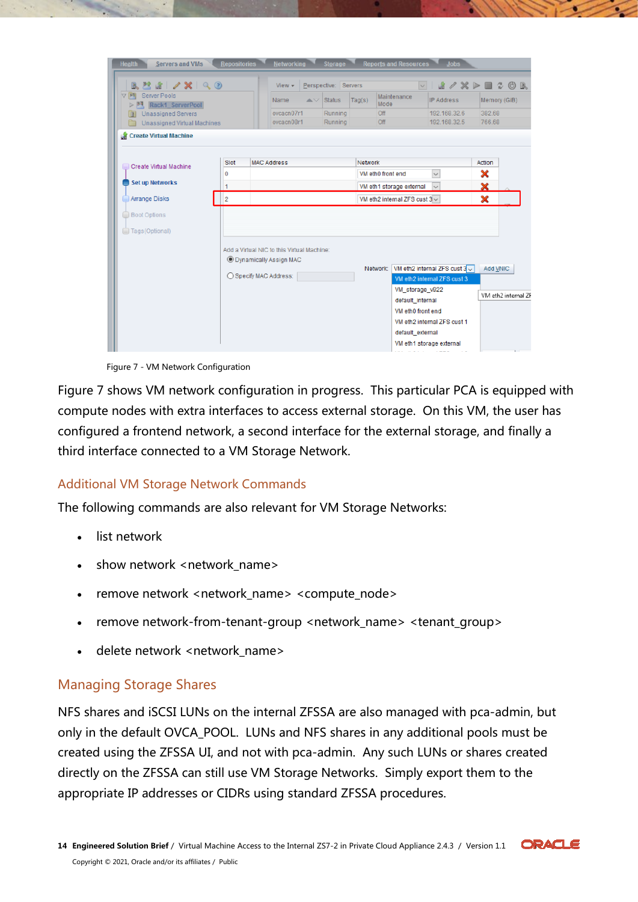| 鳯                                                                                   |                |                                 | View $\star$                               | Perspective: Servers |         | $\vert \vee \vert$                 | ar.                                   | 7 X D 20 R          |  |
|-------------------------------------------------------------------------------------|----------------|---------------------------------|--------------------------------------------|----------------------|---------|------------------------------------|---------------------------------------|---------------------|--|
| 又画<br>Server Pools<br>$\triangleright$ $\mathbb{P}^{\mathbb{H}}$ , Rack1 ServerPool |                |                                 | Name<br>$\triangle \triangledown$          | Status               | Tag(s)  | Maintenance<br>Mode                | <b>IP Address</b>                     | Memory (GiB)        |  |
| <b>Unassigned Servers</b>                                                           |                |                                 | ovcacn07r1                                 | Running              |         | Off                                | 192.168.32.6                          | 382.68              |  |
| Unassigned Virtual Machines                                                         |                |                                 | ovcacn08r1                                 | Running              |         | Off                                | 192.168.32.5                          | 766.68              |  |
| Create Virtual Machine                                                              |                |                                 |                                            |                      |         |                                    |                                       |                     |  |
| Create Virtual Machine                                                              | Slot           | <b>MAC Address</b>              |                                            |                      | Network |                                    |                                       | Action              |  |
|                                                                                     | 0              |                                 |                                            |                      |         | VM eth0 front end                  | $\checkmark$                          | ×                   |  |
| Set up Networks                                                                     |                |                                 |                                            |                      |         | VM eth1 storage external           | $\overline{\mathsf{v}}$               | X                   |  |
|                                                                                     |                |                                 |                                            |                      |         |                                    |                                       |                     |  |
|                                                                                     | $\overline{2}$ |                                 |                                            |                      |         | VM eth2 internal ZFS cust $3 \vee$ |                                       | ×                   |  |
|                                                                                     |                |                                 |                                            |                      |         |                                    |                                       |                     |  |
| Arrange Disks<br><b>Boot Options</b>                                                |                |                                 |                                            |                      |         |                                    |                                       |                     |  |
| Tags(Optional)                                                                      |                |                                 |                                            |                      |         |                                    |                                       |                     |  |
|                                                                                     |                |                                 | Add a Virtual NIC to this Virtual Machine: |                      |         |                                    |                                       |                     |  |
|                                                                                     |                | <b>O</b> Dynamically Assign MAC |                                            |                      |         |                                    |                                       |                     |  |
|                                                                                     |                |                                 |                                            |                      |         | Network:                           | VM eth2 internal ZFS cust $3\sqrt{ }$ | <b>Add VNIC</b>     |  |
|                                                                                     |                | ◯ Specify MAC Address:          |                                            |                      |         |                                    | VM eth2 internal ZFS cust 3           |                     |  |
|                                                                                     |                |                                 |                                            |                      |         | VM_storage_v922                    |                                       | VM eth2 internal ZF |  |
|                                                                                     |                |                                 |                                            |                      |         | default_internal                   |                                       |                     |  |
|                                                                                     |                |                                 |                                            |                      |         | VM eth0 front end                  | VM eth2 internal ZFS cust 1           |                     |  |

Figure 7 - VM Network Configuration

Figure 7 shows VM network configuration in progress. This particular PCA is equipped with compute nodes with extra interfaces to access external storage. On this VM, the user has configured a frontend network, a second interface for the external storage, and finally a third interface connected to a VM Storage Network.

# <span id="page-13-0"></span>Additional VM Storage Network Commands

The following commands are also relevant for VM Storage Networks:

- list network
- show network <network\_name>
- remove network <network name> <compute node>
- remove network-from-tenant-group <network\_name> <tenant\_group>
- delete network <network name>

# <span id="page-13-1"></span>Managing Storage Shares

NFS shares and iSCSI LUNs on the internal ZFSSA are also managed with pca-admin, but only in the default OVCA\_POOL. LUNs and NFS shares in any additional pools must be created using the ZFSSA UI, and not with pca-admin. Any such LUNs or shares created directly on the ZFSSA can still use VM Storage Networks. Simply export them to the appropriate IP addresses or CIDRs using standard ZFSSA procedures.

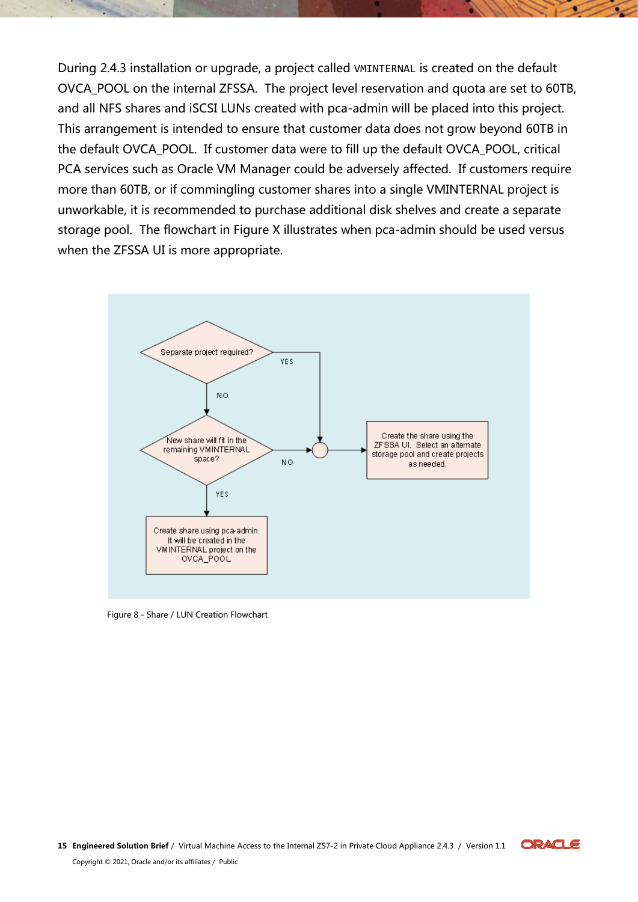During 2.4.3 installation or upgrade, a project called VMINTERNAL is created on the default OVCA\_POOL on the internal ZFSSA. The project level reservation and quota are set to 60TB, and all NFS shares and iSCSI LUNs created with pca-admin will be placed into this project. This arrangement is intended to ensure that customer data does not grow beyond 60TB in the default OVCA\_POOL. If customer data were to fill up the default OVCA\_POOL, critical PCA services such as Oracle VM Manager could be adversely affected. If customers require more than 60TB, or if commingling customer shares into a single VMINTERNAL project is unworkable, it is recommended to purchase additional disk shelves and create a separate storage pool. The flowchart in Figure X illustrates when pca-admin should be used versus when the ZFSSA UI is more appropriate.



Figure 8 - Share / LUN Creation Flowchart

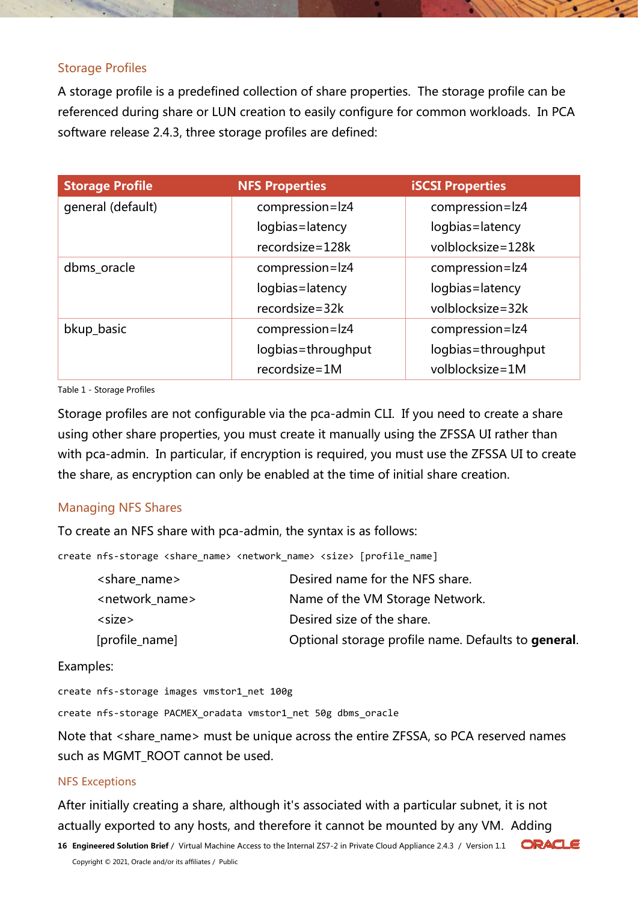#### <span id="page-15-0"></span>Storage Profiles

A storage profile is a predefined collection of share properties. The storage profile can be referenced during share or LUN creation to easily configure for common workloads. In PCA software release 2.4.3, three storage profiles are defined:

| <b>Storage Profile</b> | <b>NFS Properties</b> | <b>iSCSI Properties</b> |
|------------------------|-----------------------|-------------------------|
| general (default)      | compression=Iz4       | compression=Iz4         |
|                        | logbias=latency       | logbias=latency         |
|                        | recordsize=128k       | volblocksize=128k       |
| dbms_oracle            | compression=Iz4       | compression=Iz4         |
|                        | logbias=latency       | logbias=latency         |
|                        | $recordsize = 32k$    | volblocksize=32k        |
| bkup_basic             | compression=lz4       | compression=lz4         |
|                        | logbias=throughput    | logbias=throughput      |
|                        | recordsize=1M         | volblocksize=1M         |

<span id="page-15-2"></span>Table 1 - Storage Profiles

Storage profiles are not configurable via the pca-admin CLI. If you need to create a share using other share properties, you must create it manually using the ZFSSA UI rather than with pca-admin. In particular, if encryption is required, you must use the ZFSSA UI to create the share, as encryption can only be enabled at the time of initial share creation.

#### <span id="page-15-1"></span>Managing NFS Shares

To create an NFS share with pca-admin, the syntax is as follows:

create nfs-storage <share\_name> <network\_name> <size> [profile\_name]

| <share name=""></share>       | Desired name for the NFS share.                     |
|-------------------------------|-----------------------------------------------------|
| <network_name></network_name> | Name of the VM Storage Network.                     |
| $<$ size $>$                  | Desired size of the share.                          |
| [profile_name]                | Optional storage profile name. Defaults to general. |

#### Examples:

create nfs-storage images vmstor1\_net 100g

create nfs-storage PACMEX oradata vmstor1 net 50g dbms oracle

Note that <share\_name> must be unique across the entire ZFSSA, so PCA reserved names such as MGMT\_ROOT cannot be used.

#### NFS Exceptions

After initially creating a share, although it's associated with a particular subnet, it is not actually exported to any hosts, and therefore it cannot be mounted by any VM. Adding

ORACLE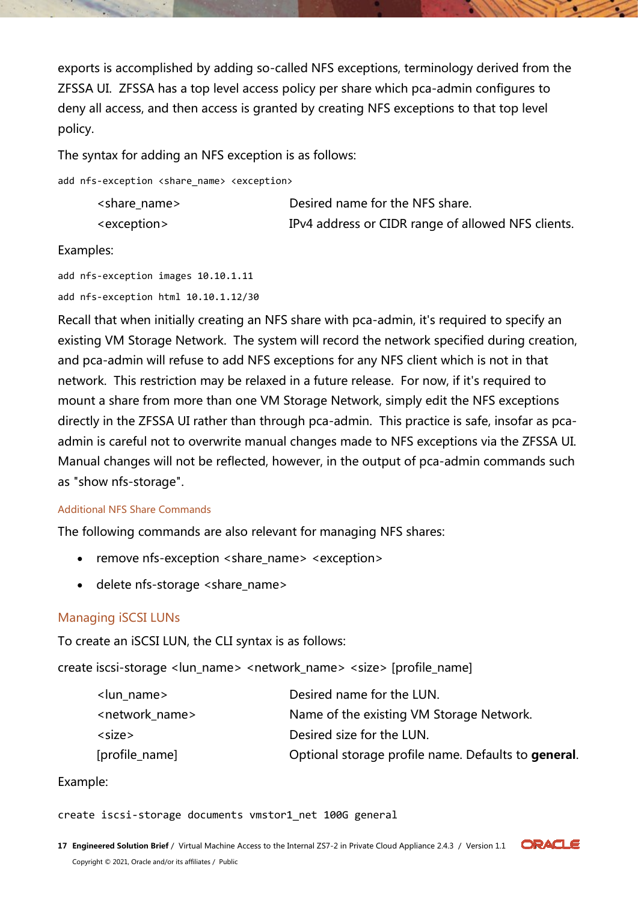exports is accomplished by adding so-called NFS exceptions, terminology derived from the ZFSSA UI. ZFSSA has a top level access policy per share which pca-admin configures to deny all access, and then access is granted by creating NFS exceptions to that top level policy.

The syntax for adding an NFS exception is as follows:

add nfs-exception <share name> <exception>

| <share name=""></share> | Desired name for the NFS share.                    |
|-------------------------|----------------------------------------------------|
| <exception></exception> | IPv4 address or CIDR range of allowed NFS clients. |

#### Examples:

add nfs-exception images 10.10.1.11 add nfs-exception html 10.10.1.12/30

Recall that when initially creating an NFS share with pca-admin, it's required to specify an existing VM Storage Network. The system will record the network specified during creation, and pca-admin will refuse to add NFS exceptions for any NFS client which is not in that network. This restriction may be relaxed in a future release. For now, if it's required to mount a share from more than one VM Storage Network, simply edit the NFS exceptions directly in the ZFSSA UI rather than through pca-admin. This practice is safe, insofar as pcaadmin is careful not to overwrite manual changes made to NFS exceptions via the ZFSSA UI. Manual changes will not be reflected, however, in the output of pca-admin commands such as "show nfs-storage".

#### Additional NFS Share Commands

The following commands are also relevant for managing NFS shares:

- remove nfs-exception <share\_name> <exception>
- delete nfs-storage <share name>

# <span id="page-16-0"></span>Managing iSCSI LUNs

To create an iSCSI LUN, the CLI syntax is as follows:

create iscsi-storage <lun\_name> <network\_name> <size> [profile\_name]

| <lun_name></lun_name>       | Desired name for the LUN.                           |
|-----------------------------|-----------------------------------------------------|
| <network name=""></network> | Name of the existing VM Storage Network.            |
| $<$ size $>$                | Desired size for the LUN.                           |
| [profile_name]              | Optional storage profile name. Defaults to general. |

Example:

create iscsi-storage documents vmstor1\_net 100G general

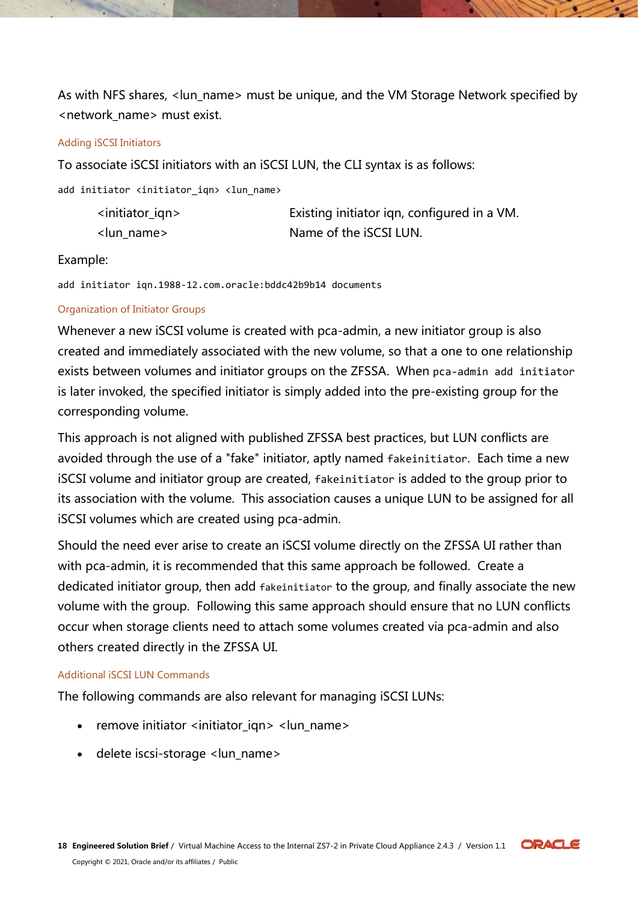As with NFS shares, <lun\_name> must be unique, and the VM Storage Network specified by <network\_name> must exist.

#### Adding iSCSI Initiators

To associate iSCSI initiators with an iSCSI LUN, the CLI syntax is as follows:

add initiator <initiator\_iqn> <lun\_name>

| <initiator_ign></initiator_ign> | Existing initiator ign, configured in a VM. |
|---------------------------------|---------------------------------------------|
| <lun name=""></lun>             | Name of the iSCSI LUN.                      |

#### Example:

add initiator iqn.1988-12.com.oracle:bddc42b9b14 documents

#### Organization of Initiator Groups

Whenever a new iSCSI volume is created with pca-admin, a new initiator group is also created and immediately associated with the new volume, so that a one to one relationship exists between volumes and initiator groups on the ZFSSA. When pca-admin add initiator is later invoked, the specified initiator is simply added into the pre-existing group for the corresponding volume.

This approach is not aligned with published ZFSSA best practices, but LUN conflicts are avoided through the use of a "fake" initiator, aptly named fakeinitiator. Each time a new iSCSI volume and initiator group are created, fakeinitiator is added to the group prior to its association with the volume. This association causes a unique LUN to be assigned for all iSCSI volumes which are created using pca-admin.

Should the need ever arise to create an iSCSI volume directly on the ZFSSA UI rather than with pca-admin, it is recommended that this same approach be followed. Create a dedicated initiator group, then add fakeinitiator to the group, and finally associate the new volume with the group. Following this same approach should ensure that no LUN conflicts occur when storage clients need to attach some volumes created via pca-admin and also others created directly in the ZFSSA UI.

#### Additional iSCSI LUN Commands

The following commands are also relevant for managing iSCSI LUNs:

- remove initiator <initiator\_ign> <lun\_name>
- delete iscsi-storage < lun\_name>

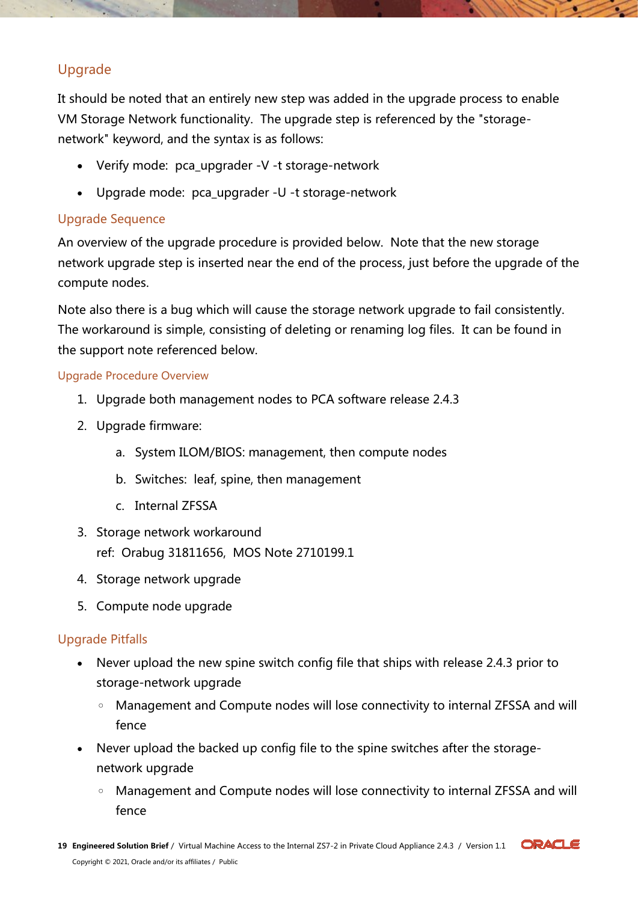# <span id="page-18-0"></span>Upgrade

It should be noted that an entirely new step was added in the upgrade process to enable VM Storage Network functionality. The upgrade step is referenced by the "storagenetwork" keyword, and the syntax is as follows:

- Verify mode: pca\_upgrader -V -t storage-network
- Upgrade mode: pca\_upgrader -U -t storage-network

#### <span id="page-18-1"></span>Upgrade Sequence

An overview of the upgrade procedure is provided below. Note that the new storage network upgrade step is inserted near the end of the process, just before the upgrade of the compute nodes.

Note also there is a bug which will cause the storage network upgrade to fail consistently. The workaround is simple, consisting of deleting or renaming log files. It can be found in the support note referenced below.

#### Upgrade Procedure Overview

- 1. Upgrade both management nodes to PCA software release 2.4.3
- 2. Upgrade firmware:
	- a. System ILOM/BIOS: management, then compute nodes
	- b. Switches: leaf, spine, then management
	- c. Internal ZFSSA
- 3. Storage network workaround ref: Orabug 31811656, MOS Note 2710199.1
- 4. Storage network upgrade
- 5. Compute node upgrade

# <span id="page-18-2"></span>Upgrade Pitfalls

- Never upload the new spine switch config file that ships with release 2.4.3 prior to storage-network upgrade
	- Management and Compute nodes will lose connectivity to internal ZFSSA and will fence
- Never upload the backed up config file to the spine switches after the storagenetwork upgrade
	- Management and Compute nodes will lose connectivity to internal ZFSSA and will fence